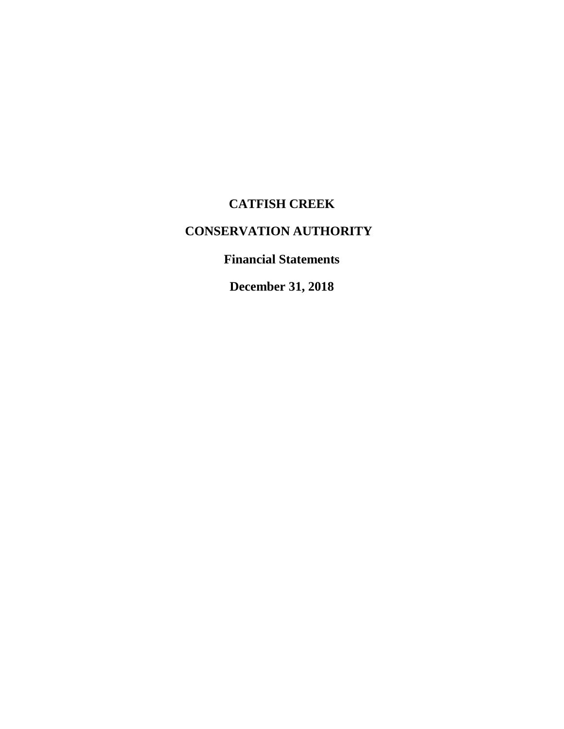# **CATFISH CREEK**

## **CONSERVATION AUTHORITY**

**Financial Statements** 

**December 31, 2018**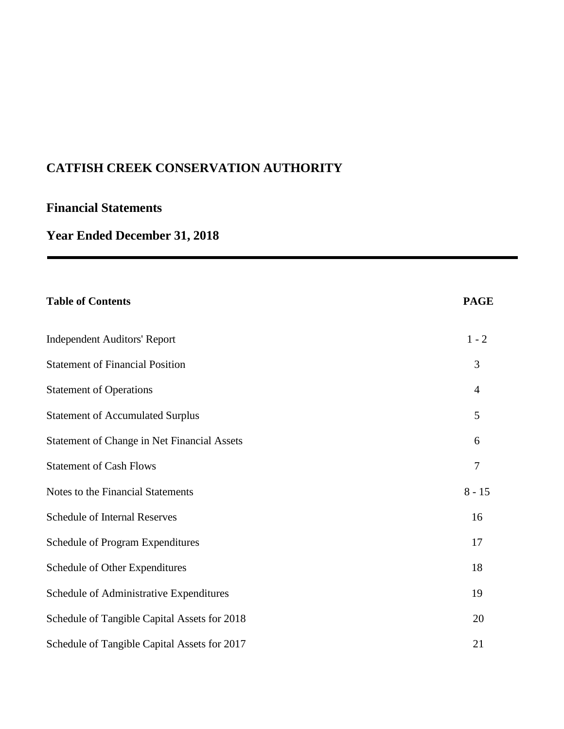## **Financial Statements**

# **Year Ended December 31, 2018**

| <b>Table of Contents</b>                           | <b>PAGE</b>    |
|----------------------------------------------------|----------------|
| <b>Independent Auditors' Report</b>                | $1 - 2$        |
| <b>Statement of Financial Position</b>             | 3              |
| <b>Statement of Operations</b>                     | $\overline{4}$ |
| <b>Statement of Accumulated Surplus</b>            | 5              |
| <b>Statement of Change in Net Financial Assets</b> | 6              |
| <b>Statement of Cash Flows</b>                     | $\overline{7}$ |
| Notes to the Financial Statements                  | $8 - 15$       |
| <b>Schedule of Internal Reserves</b>               | 16             |
| Schedule of Program Expenditures                   | 17             |
| Schedule of Other Expenditures                     | 18             |
| Schedule of Administrative Expenditures            | 19             |
| Schedule of Tangible Capital Assets for 2018       | 20             |
| Schedule of Tangible Capital Assets for 2017       | 21             |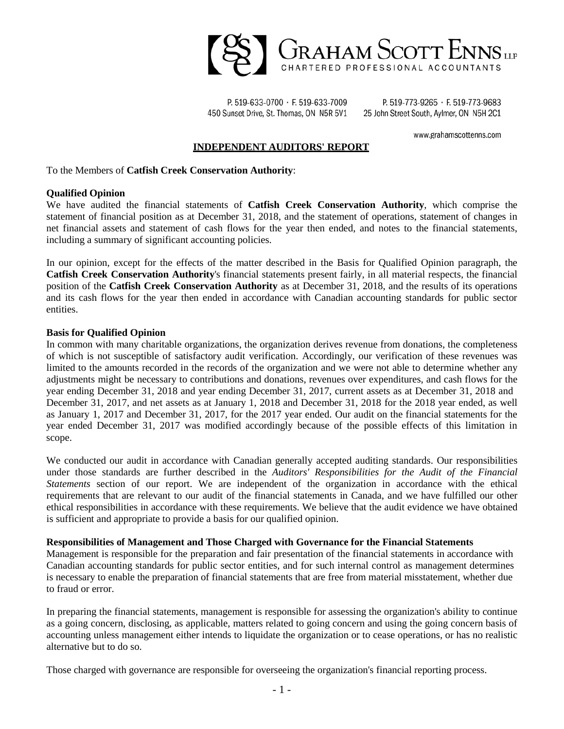

P. 519-633-0700 · F. 519-633-7009 450 Sunset Drive, St. Thomas, ON N5R 5V1

P. 519-773-9265 · F. 519-773-9683 25 John Street South, Aylmer, ON N5H 2C1

www.grahamscottenns.com

#### **INDEPENDENT AUDITORS' REPORT**

To the Members of **Catfish Creek Conservation Authority**:

#### **Qualified Opinion**

We have audited the financial statements of **Catfish Creek Conservation Authority**, which comprise the statement of financial position as at December 31, 2018, and the statement of operations, statement of changes in net financial assets and statement of cash flows for the year then ended, and notes to the financial statements, including a summary of significant accounting policies.

In our opinion, except for the effects of the matter described in the Basis for Qualified Opinion paragraph, the **Catfish Creek Conservation Authority**'s financial statements present fairly, in all material respects, the financial position of the **Catfish Creek Conservation Authority** as at December 31, 2018, and the results of its operations and its cash flows for the year then ended in accordance with Canadian accounting standards for public sector entities.

#### **Basis for Qualified Opinion**

In common with many charitable organizations, the organization derives revenue from donations, the completeness of which is not susceptible of satisfactory audit verification. Accordingly, our verification of these revenues was limited to the amounts recorded in the records of the organization and we were not able to determine whether any adjustments might be necessary to contributions and donations, revenues over expenditures, and cash flows for the year ending December 31, 2018 and year ending December 31, 2017, current assets as at December 31, 2018 and December 31, 2017, and net assets as at January 1, 2018 and December 31, 2018 for the 2018 year ended, as well as January 1, 2017 and December 31, 2017, for the 2017 year ended. Our audit on the financial statements for the year ended December 31, 2017 was modified accordingly because of the possible effects of this limitation in scope.

We conducted our audit in accordance with Canadian generally accepted auditing standards. Our responsibilities under those standards are further described in the *Auditors' Responsibilities for the Audit of the Financial Statements* section of our report. We are independent of the organization in accordance with the ethical requirements that are relevant to our audit of the financial statements in Canada, and we have fulfilled our other ethical responsibilities in accordance with these requirements. We believe that the audit evidence we have obtained is sufficient and appropriate to provide a basis for our qualified opinion.

#### **Responsibilities of Management and Those Charged with Governance for the Financial Statements**

Management is responsible for the preparation and fair presentation of the financial statements in accordance with Canadian accounting standards for public sector entities, and for such internal control as management determines is necessary to enable the preparation of financial statements that are free from material misstatement, whether due to fraud or error.

In preparing the financial statements, management is responsible for assessing the organization's ability to continue as a going concern, disclosing, as applicable, matters related to going concern and using the going concern basis of accounting unless management either intends to liquidate the organization or to cease operations, or has no realistic alternative but to do so.

Those charged with governance are responsible for overseeing the organization's financial reporting process.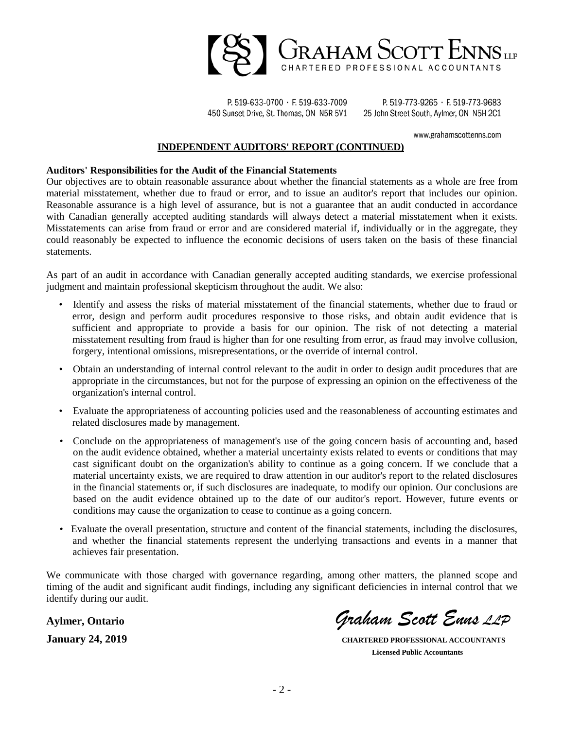

P. 519-633-0700 · F. 519-633-7009 450 Sunset Drive, St. Thomas, ON N5R 5V1

P. 519-773-9265 · F. 519-773-9683 25 John Street South, Aylmer, ON N5H 2C1

www.grahamscottenns.com

#### **INDEPENDENT AUDITORS' REPORT (CONTINUED)**

#### **Auditors' Responsibilities for the Audit of the Financial Statements**

Our objectives are to obtain reasonable assurance about whether the financial statements as a whole are free from material misstatement, whether due to fraud or error, and to issue an auditor's report that includes our opinion. Reasonable assurance is a high level of assurance, but is not a guarantee that an audit conducted in accordance with Canadian generally accepted auditing standards will always detect a material misstatement when it exists. Misstatements can arise from fraud or error and are considered material if, individually or in the aggregate, they could reasonably be expected to influence the economic decisions of users taken on the basis of these financial statements.

As part of an audit in accordance with Canadian generally accepted auditing standards, we exercise professional judgment and maintain professional skepticism throughout the audit. We also:

- Identify and assess the risks of material misstatement of the financial statements, whether due to fraud or error, design and perform audit procedures responsive to those risks, and obtain audit evidence that is sufficient and appropriate to provide a basis for our opinion. The risk of not detecting a material misstatement resulting from fraud is higher than for one resulting from error, as fraud may involve collusion, forgery, intentional omissions, misrepresentations, or the override of internal control.
- Obtain an understanding of internal control relevant to the audit in order to design audit procedures that are appropriate in the circumstances, but not for the purpose of expressing an opinion on the effectiveness of the organization's internal control.
- Evaluate the appropriateness of accounting policies used and the reasonableness of accounting estimates and related disclosures made by management.
- Conclude on the appropriateness of management's use of the going concern basis of accounting and, based on the audit evidence obtained, whether a material uncertainty exists related to events or conditions that may cast significant doubt on the organization's ability to continue as a going concern. If we conclude that a material uncertainty exists, we are required to draw attention in our auditor's report to the related disclosures in the financial statements or, if such disclosures are inadequate, to modify our opinion. Our conclusions are based on the audit evidence obtained up to the date of our auditor's report. However, future events or conditions may cause the organization to cease to continue as a going concern.
- Evaluate the overall presentation, structure and content of the financial statements, including the disclosures, and whether the financial statements represent the underlying transactions and events in a manner that achieves fair presentation.

We communicate with those charged with governance regarding, among other matters, the planned scope and timing of the audit and significant audit findings, including any significant deficiencies in internal control that we identify during our audit.

**Aylmer, Ontario** *Graham Scott Enns LLP*

**January 24, 2019 CHARTERED PROFESSIONAL ACCOUNTANTS Licensed Public Accountants**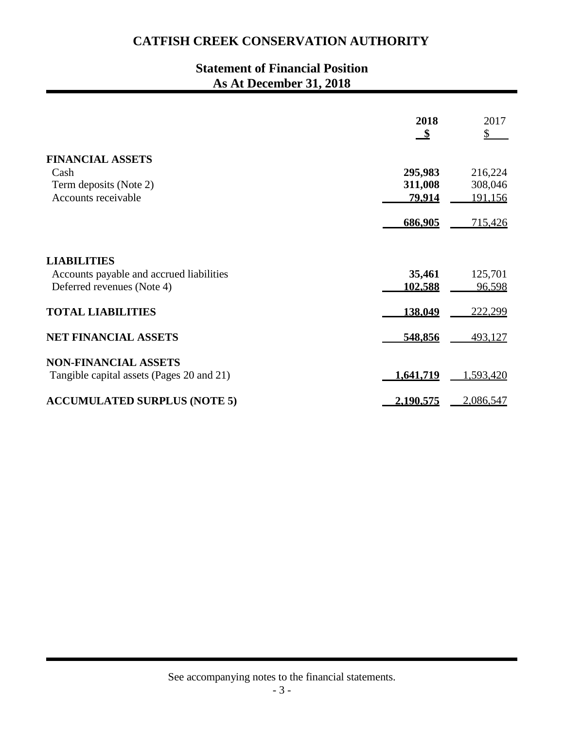## **Statement of Financial Position As At December 31, 2018**

|                                                                                              | 2018<br>$\frac{\$}{}$               | 2017<br>\$                    |
|----------------------------------------------------------------------------------------------|-------------------------------------|-------------------------------|
| <b>FINANCIAL ASSETS</b><br>Cash<br>Term deposits (Note 2)<br>Accounts receivable             | 295,983<br>311,008<br><u>79,914</u> | 216,224<br>308,046<br>191,156 |
|                                                                                              | 686,905                             | 715,426                       |
| <b>LIABILITIES</b><br>Accounts payable and accrued liabilities<br>Deferred revenues (Note 4) | 35,461<br>102,588                   | 125,701<br>96,598             |
| <b>TOTAL LIABILITIES</b>                                                                     | 138,049                             | 222,299                       |
| <b>NET FINANCIAL ASSETS</b>                                                                  | 548,856                             | 493,127                       |
| <b>NON-FINANCIAL ASSETS</b><br>Tangible capital assets (Pages 20 and 21)                     | 1,641,719                           | 1,593,420                     |
| <b>ACCUMULATED SURPLUS (NOTE 5)</b>                                                          | 2,190,575                           | 2,086,547                     |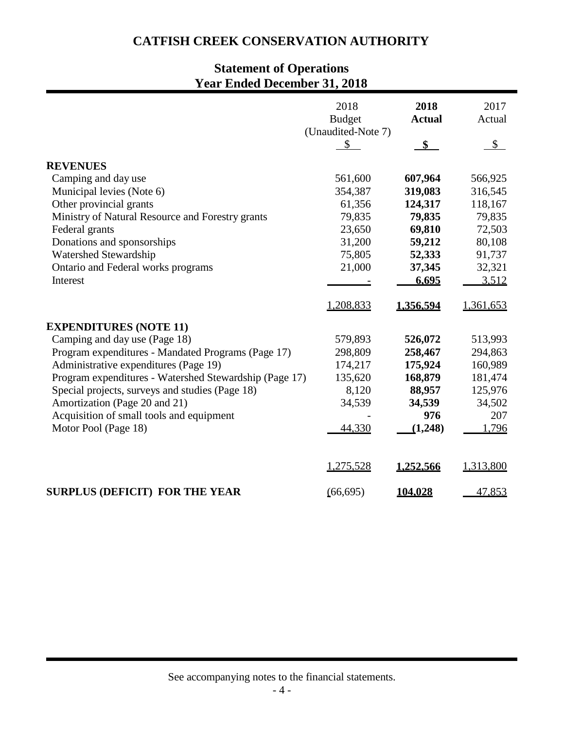# **Statement of Operations Year Ended December 31, 2018**

|                                                        | 2018<br><b>Budget</b><br>(Unaudited-Note 7) | 2018<br><b>Actual</b> | 2017<br>Actual |
|--------------------------------------------------------|---------------------------------------------|-----------------------|----------------|
|                                                        | $\mathbb{S}$                                |                       | $\mathbb{S}^-$ |
| <b>REVENUES</b>                                        |                                             |                       |                |
| Camping and day use                                    | 561,600                                     | 607,964               | 566,925        |
| Municipal levies (Note 6)                              | 354,387                                     | 319,083               | 316,545        |
| Other provincial grants                                | 61,356                                      | 124,317               | 118,167        |
| Ministry of Natural Resource and Forestry grants       | 79,835                                      | 79,835                | 79,835         |
| Federal grants                                         | 23,650                                      | 69,810                | 72,503         |
| Donations and sponsorships                             | 31,200                                      | 59,212                | 80,108         |
| Watershed Stewardship                                  | 75,805                                      | 52,333                | 91,737         |
| Ontario and Federal works programs                     | 21,000                                      | 37,345                | 32,321         |
| Interest                                               |                                             | 6,695                 | 3,512          |
|                                                        | 1,208,833                                   | 1,356,594             | 1,361,653      |
| <b>EXPENDITURES (NOTE 11)</b>                          |                                             |                       |                |
| Camping and day use (Page 18)                          | 579,893                                     | 526,072               | 513,993        |
| Program expenditures - Mandated Programs (Page 17)     | 298,809                                     | 258,467               | 294,863        |
| Administrative expenditures (Page 19)                  | 174,217                                     | 175,924               | 160,989        |
| Program expenditures - Watershed Stewardship (Page 17) | 135,620                                     | 168,879               | 181,474        |
| Special projects, surveys and studies (Page 18)        | 8,120                                       | 88,957                | 125,976        |
| Amortization (Page 20 and 21)                          | 34,539                                      | 34,539                | 34,502         |
| Acquisition of small tools and equipment               |                                             | 976                   | 207            |
| Motor Pool (Page 18)                                   | 44,330                                      | (1,248)               | 1,796          |
|                                                        |                                             |                       |                |
|                                                        | 1,275,528                                   | 1,252,566             | 1,313,800      |
| <b>SURPLUS (DEFICIT) FOR THE YEAR</b>                  | (66, 695)                                   | 104,028               | 47,853         |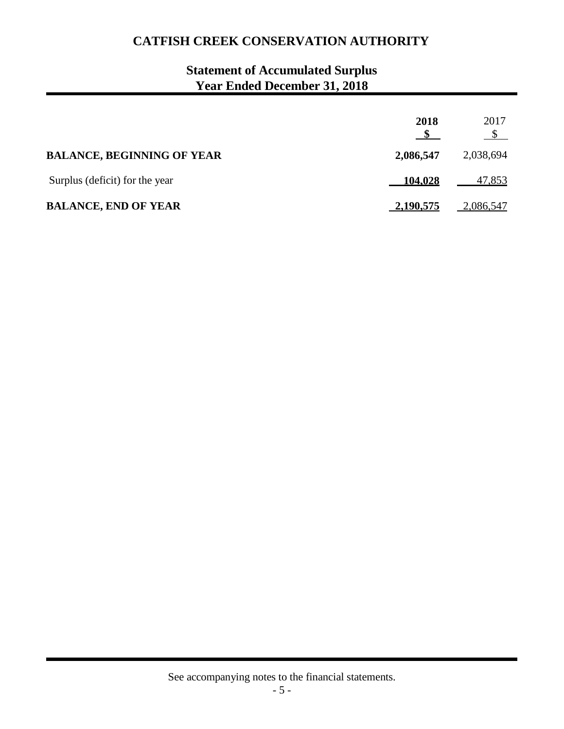## **Statement of Accumulated Surplus Year Ended December 31, 2018**

|                                   | 2018             | 2017<br>$\mathcal{S}$ |
|-----------------------------------|------------------|-----------------------|
| <b>BALANCE, BEGINNING OF YEAR</b> | 2,086,547        | 2,038,694             |
| Surplus (deficit) for the year    | 104,028          | <u>47,853</u>         |
| <b>BALANCE, END OF YEAR</b>       | <u>2,190,575</u> | 2,086,547             |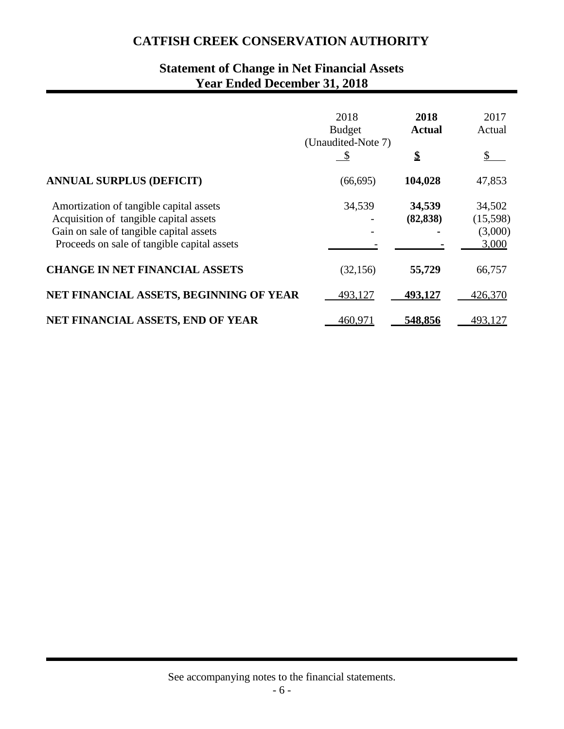## **Statement of Change in Net Financial Assets Year Ended December 31, 2018**

|                                             | 2018<br><b>Budget</b><br>(Unaudited-Note 7) | 2018<br><b>Actual</b>     | 2017<br>Actual |
|---------------------------------------------|---------------------------------------------|---------------------------|----------------|
|                                             | -\$                                         | $\boldsymbol{\mathsf{S}}$ | \$             |
| <b>ANNUAL SURPLUS (DEFICIT)</b>             | (66, 695)                                   | 104,028                   | 47,853         |
| Amortization of tangible capital assets     | 34,539                                      | 34,539                    | 34,502         |
| Acquisition of tangible capital assets      |                                             | (82, 838)                 | (15,598)       |
| Gain on sale of tangible capital assets     |                                             |                           | (3,000)        |
| Proceeds on sale of tangible capital assets |                                             |                           | 3,000          |
| <b>CHANGE IN NET FINANCIAL ASSETS</b>       | (32, 156)                                   | 55,729                    | 66,757         |
| NET FINANCIAL ASSETS, BEGINNING OF YEAR     | 493,127                                     | 493,127                   | 426,370        |
| NET FINANCIAL ASSETS, END OF YEAR           | 460,971                                     | 548,856                   | 493,127        |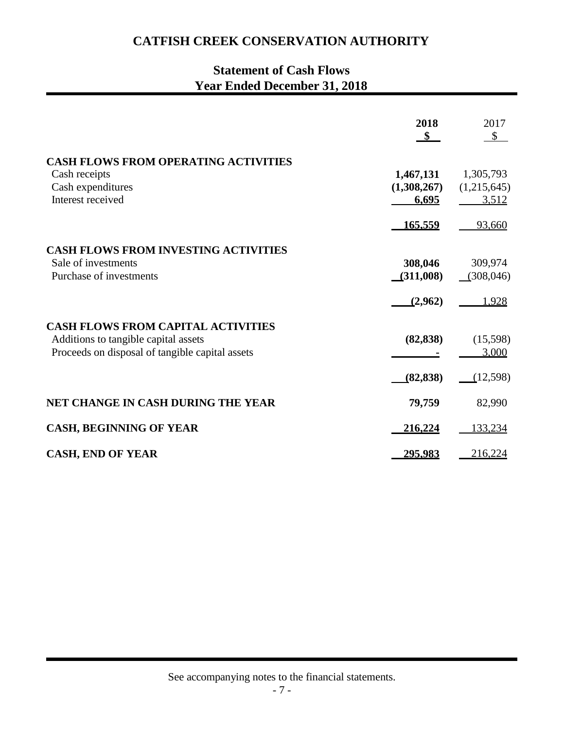## **Statement of Cash Flows Year Ended December 31, 2018**

|                                                                                                                                      | 2018<br>$\frac{1}{2}$             | 2017<br>$\mathbb{S}$              |
|--------------------------------------------------------------------------------------------------------------------------------------|-----------------------------------|-----------------------------------|
| <b>CASH FLOWS FROM OPERATING ACTIVITIES</b><br>Cash receipts<br>Cash expenditures<br>Interest received                               | 1,467,131<br>(1,308,267)<br>6,695 | 1,305,793<br>(1,215,645)<br>3,512 |
|                                                                                                                                      | <u>165,559</u>                    | 93,660                            |
| <b>CASH FLOWS FROM INVESTING ACTIVITIES</b><br>Sale of investments<br>Purchase of investments                                        | 308,046<br>(311,008)<br>(2,962)   | 309,974<br>(308, 046)<br>1,928    |
| <b>CASH FLOWS FROM CAPITAL ACTIVITIES</b><br>Additions to tangible capital assets<br>Proceeds on disposal of tangible capital assets | (82, 838)                         | (15,598)<br>3,000                 |
|                                                                                                                                      | (82, 838)                         | (12, 598)                         |
| NET CHANGE IN CASH DURING THE YEAR                                                                                                   | 79,759                            | 82,990                            |
| <b>CASH, BEGINNING OF YEAR</b>                                                                                                       | 216,224                           | 133,234                           |
| <b>CASH, END OF YEAR</b>                                                                                                             | 295,983                           | 216,224                           |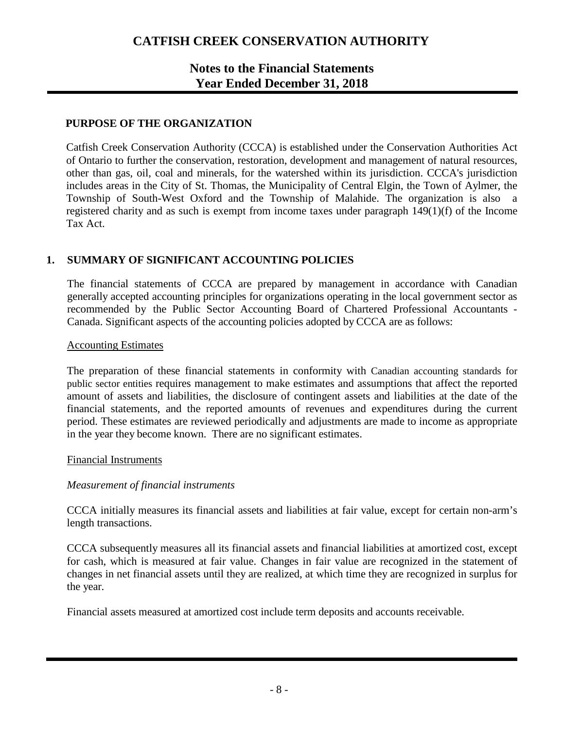## **Notes to the Financial Statements Year Ended December 31, 2018**

### **PURPOSE OF THE ORGANIZATION**

Catfish Creek Conservation Authority (CCCA) is established under the Conservation Authorities Act of Ontario to further the conservation, restoration, development and management of natural resources, other than gas, oil, coal and minerals, for the watershed within its jurisdiction. CCCA's jurisdiction includes areas in the City of St. Thomas, the Municipality of Central Elgin, the Town of Aylmer, the Township of South-West Oxford and the Township of Malahide. The organization is also a registered charity and as such is exempt from income taxes under paragraph 149(1)(f) of the Income Tax Act.

### **1. SUMMARY OF SIGNIFICANT ACCOUNTING POLICIES**

The financial statements of CCCA are prepared by management in accordance with Canadian generally accepted accounting principles for organizations operating in the local government sector as recommended by the Public Sector Accounting Board of Chartered Professional Accountants - Canada. Significant aspects of the accounting policies adopted by CCCA are as follows:

### Accounting Estimates

The preparation of these financial statements in conformity with Canadian accounting standards for public sector entities requires management to make estimates and assumptions that affect the reported amount of assets and liabilities, the disclosure of contingent assets and liabilities at the date of the financial statements, and the reported amounts of revenues and expenditures during the current period. These estimates are reviewed periodically and adjustments are made to income as appropriate in the year they become known. There are no significant estimates.

### Financial Instruments

### *Measurement of financial instruments*

CCCA initially measures its financial assets and liabilities at fair value, except for certain non-arm's length transactions.

CCCA subsequently measures all its financial assets and financial liabilities at amortized cost, except for cash, which is measured at fair value. Changes in fair value are recognized in the statement of changes in net financial assets until they are realized, at which time they are recognized in surplus for the year.

Financial assets measured at amortized cost include term deposits and accounts receivable.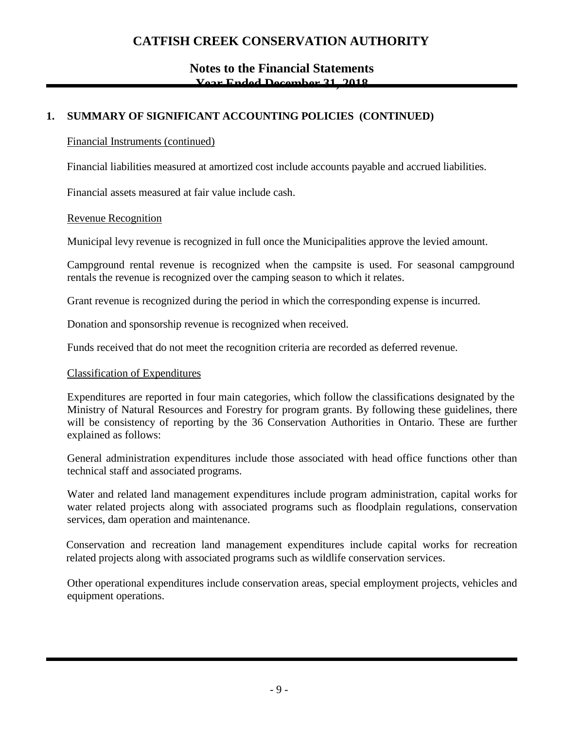### **Notes to the Financial Statements Year Ended December 31, 2018**

### **1. SUMMARY OF SIGNIFICANT ACCOUNTING POLICIES (CONTINUED)**

### Financial Instruments (continued)

Financial liabilities measured at amortized cost include accounts payable and accrued liabilities.

Financial assets measured at fair value include cash.

### Revenue Recognition

Municipal levy revenue is recognized in full once the Municipalities approve the levied amount.

Campground rental revenue is recognized when the campsite is used. For seasonal campground rentals the revenue is recognized over the camping season to which it relates.

Grant revenue is recognized during the period in which the corresponding expense is incurred.

Donation and sponsorship revenue is recognized when received.

Funds received that do not meet the recognition criteria are recorded as deferred revenue.

### Classification of Expenditures

Expenditures are reported in four main categories, which follow the classifications designated by the Ministry of Natural Resources and Forestry for program grants. By following these guidelines, there will be consistency of reporting by the 36 Conservation Authorities in Ontario. These are further explained as follows:

General administration expenditures include those associated with head office functions other than technical staff and associated programs.

Water and related land management expenditures include program administration, capital works for water related projects along with associated programs such as floodplain regulations, conservation services, dam operation and maintenance.

Conservation and recreation land management expenditures include capital works for recreation related projects along with associated programs such as wildlife conservation services.

Other operational expenditures include conservation areas, special employment projects, vehicles and equipment operations.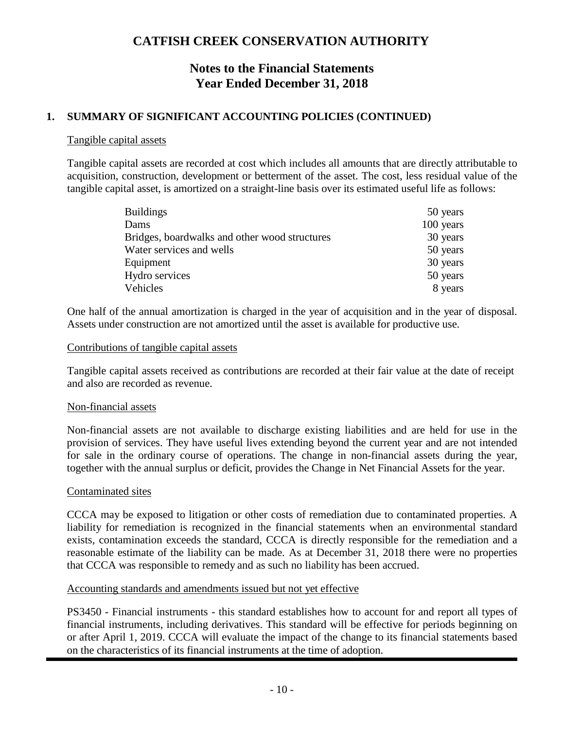## **Notes to the Financial Statements Year Ended December 31, 2018**

### **1. SUMMARY OF SIGNIFICANT ACCOUNTING POLICIES (CONTINUED)**

### Tangible capital assets

Tangible capital assets are recorded at cost which includes all amounts that are directly attributable to acquisition, construction, development or betterment of the asset. The cost, less residual value of the tangible capital asset, is amortized on a straight-line basis over its estimated useful life as follows:

| <b>Buildings</b>                              | 50 years  |
|-----------------------------------------------|-----------|
| Dams                                          | 100 years |
| Bridges, boardwalks and other wood structures | 30 years  |
| Water services and wells                      | 50 years  |
| Equipment                                     | 30 years  |
| Hydro services                                | 50 years  |
| Vehicles                                      | 8 years   |

One half of the annual amortization is charged in the year of acquisition and in the year of disposal. Assets under construction are not amortized until the asset is available for productive use.

### Contributions of tangible capital assets

Tangible capital assets received as contributions are recorded at their fair value at the date of receipt and also are recorded as revenue.

### Non-financial assets

Non-financial assets are not available to discharge existing liabilities and are held for use in the provision of services. They have useful lives extending beyond the current year and are not intended for sale in the ordinary course of operations. The change in non-financial assets during the year, together with the annual surplus or deficit, provides the Change in Net Financial Assets for the year.

### Contaminated sites

CCCA may be exposed to litigation or other costs of remediation due to contaminated properties. A liability for remediation is recognized in the financial statements when an environmental standard exists, contamination exceeds the standard, CCCA is directly responsible for the remediation and a reasonable estimate of the liability can be made. As at December 31, 2018 there were no properties that CCCA was responsible to remedy and as such no liability has been accrued.

### Accounting standards and amendments issued but not yet effective

PS3450 - Financial instruments - this standard establishes how to account for and report all types of financial instruments, including derivatives. This standard will be effective for periods beginning on or after April 1, 2019. CCCA will evaluate the impact of the change to its financial statements based on the characteristics of its financial instruments at the time of adoption.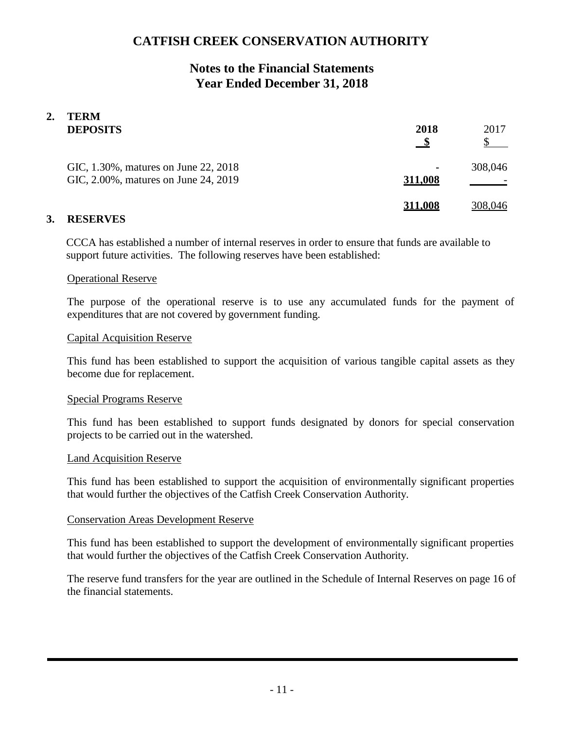## **Notes to the Financial Statements Year Ended December 31, 2018**

# **2. TERM DEPOSITS 2018** 2017 **\$** \$ GIC, 1.30%, matures on June 22, 2018 **-** 308,046 GIC, 2.00%, matures on June 24, 2019 **311,008 311,008 311,008** 308,046

### **3. RESERVES**

CCCA has established a number of internal reserves in order to ensure that funds are available to support future activities. The following reserves have been established:

### Operational Reserve

The purpose of the operational reserve is to use any accumulated funds for the payment of expenditures that are not covered by government funding.

### Capital Acquisition Reserve

This fund has been established to support the acquisition of various tangible capital assets as they become due for replacement.

### Special Programs Reserve

This fund has been established to support funds designated by donors for special conservation projects to be carried out in the watershed.

### Land Acquisition Reserve

This fund has been established to support the acquisition of environmentally significant properties that would further the objectives of the Catfish Creek Conservation Authority.

### Conservation Areas Development Reserve

This fund has been established to support the development of environmentally significant properties that would further the objectives of the Catfish Creek Conservation Authority.

The reserve fund transfers for the year are outlined in the Schedule of Internal Reserves on page 16 of the financial statements.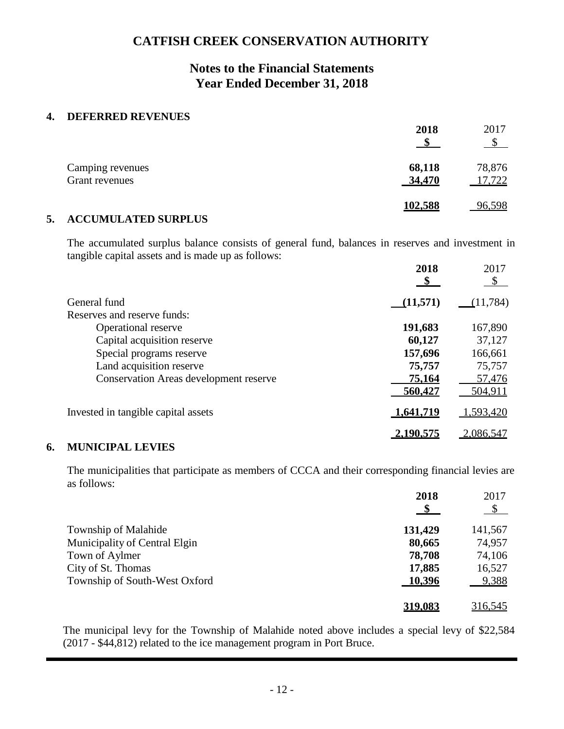## **Notes to the Financial Statements Year Ended December 31, 2018**

### **4. DEFERRED REVENUES**

|                                    | 2018             | 2017             |
|------------------------------------|------------------|------------------|
| Camping revenues<br>Grant revenues | 68,118<br>34,470 | 78,876<br>17,722 |
|                                    | 102,588          | 96,598           |

### **5. ACCUMULATED SURPLUS**

The accumulated surplus balance consists of general fund, balances in reserves and investment in tangible capital assets and is made up as follows:

|                                               | 2018      | 2017<br>\$ |
|-----------------------------------------------|-----------|------------|
| General fund                                  | (11,571)  | (11,784)   |
| Reserves and reserve funds:                   |           |            |
| Operational reserve                           | 191,683   | 167,890    |
| Capital acquisition reserve                   | 60,127    | 37,127     |
| Special programs reserve                      | 157,696   | 166,661    |
| Land acquisition reserve                      | 75,757    | 75,757     |
| <b>Conservation Areas development reserve</b> | 75,164    | 57,476     |
|                                               | 560,427   | 504,911    |
| Invested in tangible capital assets           | 1,641,719 | 1,593,420  |
|                                               | 2,190,575 | 2,086,547  |

### **6. MUNICIPAL LEVIES**

The municipalities that participate as members of CCCA and their corresponding financial levies are as follows:

|                               | 2018          | 2017          |
|-------------------------------|---------------|---------------|
|                               | $\frac{\$}{}$ | $\mathcal{S}$ |
| <b>Township of Malahide</b>   | 131,429       | 141,567       |
| Municipality of Central Elgin | 80,665        | 74,957        |
| Town of Aylmer                | 78,708        | 74,106        |
| City of St. Thomas            | 17,885        | 16,527        |
| Township of South-West Oxford | 10,396        | 9,388         |
|                               | 319,083       | 316,545       |

The municipal levy for the Township of Malahide noted above includes a special levy of \$22,584 (2017 - \$44,812) related to the ice management program in Port Bruce.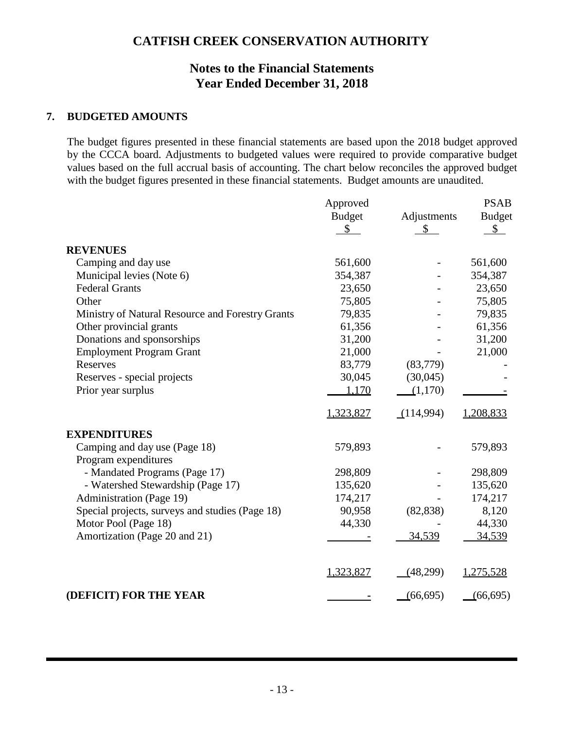## **Notes to the Financial Statements Year Ended December 31, 2018**

### **7. BUDGETED AMOUNTS**

The budget figures presented in these financial statements are based upon the 2018 budget approved by the CCCA board. Adjustments to budgeted values were required to provide comparative budget values based on the full accrual basis of accounting. The chart below reconciles the approved budget with the budget figures presented in these financial statements. Budget amounts are unaudited.

|                                                  | Approved      |               | <b>PSAB</b>   |
|--------------------------------------------------|---------------|---------------|---------------|
|                                                  | <b>Budget</b> | Adjustments   | <b>Budget</b> |
|                                                  | \$            | $\mathcal{S}$ | \$            |
| <b>REVENUES</b>                                  |               |               |               |
| Camping and day use                              | 561,600       |               | 561,600       |
| Municipal levies (Note 6)                        | 354,387       |               | 354,387       |
| <b>Federal Grants</b>                            | 23,650        |               | 23,650        |
| Other                                            | 75,805        |               | 75,805        |
| Ministry of Natural Resource and Forestry Grants | 79,835        |               | 79,835        |
| Other provincial grants                          | 61,356        |               | 61,356        |
| Donations and sponsorships                       | 31,200        |               | 31,200        |
| <b>Employment Program Grant</b>                  | 21,000        |               | 21,000        |
| Reserves                                         | 83,779        | (83,779)      |               |
| Reserves - special projects                      | 30,045        | (30,045)      |               |
| Prior year surplus                               | 1,170         | (1,170)       |               |
|                                                  | 1,323,827     | (114,994)     | 1,208,833     |
| <b>EXPENDITURES</b>                              |               |               |               |
| Camping and day use (Page 18)                    | 579,893       |               | 579,893       |
| Program expenditures                             |               |               |               |
| - Mandated Programs (Page 17)                    | 298,809       |               | 298,809       |
| - Watershed Stewardship (Page 17)                | 135,620       |               | 135,620       |
| Administration (Page 19)                         | 174,217       |               | 174,217       |
| Special projects, surveys and studies (Page 18)  | 90,958        | (82, 838)     | 8,120         |
| Motor Pool (Page 18)                             | 44,330        |               | 44,330        |
| Amortization (Page 20 and 21)                    |               | 34,539        | 34,539        |
|                                                  | 1,323,827     | (48,299)      | 1,275,528     |
| (DEFICIT) FOR THE YEAR                           |               | (66, 695)     | (66, 695)     |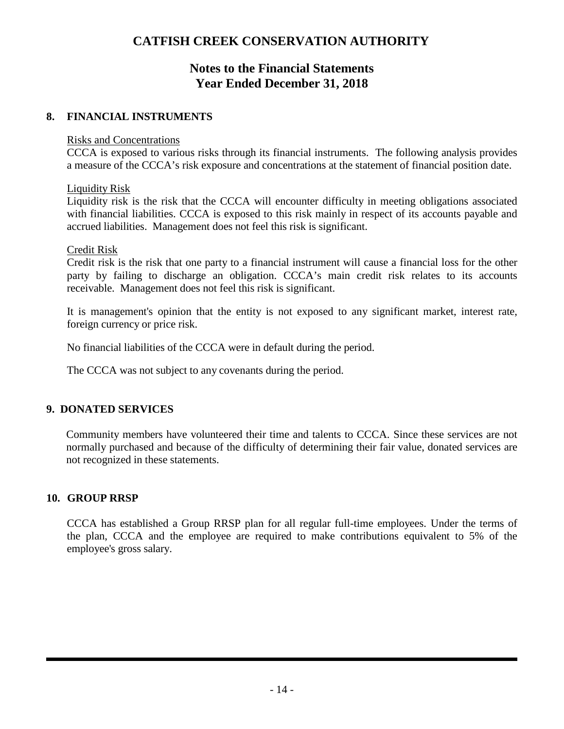## **Notes to the Financial Statements Year Ended December 31, 2018**

### **8. FINANCIAL INSTRUMENTS**

### Risks and Concentrations

CCCA is exposed to various risks through its financial instruments. The following analysis provides a measure of the CCCA's risk exposure and concentrations at the statement of financial position date.

### Liquidity Risk

Liquidity risk is the risk that the CCCA will encounter difficulty in meeting obligations associated with financial liabilities. CCCA is exposed to this risk mainly in respect of its accounts payable and accrued liabilities. Management does not feel this risk is significant.

### Credit Risk

Credit risk is the risk that one party to a financial instrument will cause a financial loss for the other party by failing to discharge an obligation. CCCA's main credit risk relates to its accounts receivable. Management does not feel this risk is significant.

It is management's opinion that the entity is not exposed to any significant market, interest rate, foreign currency or price risk.

No financial liabilities of the CCCA were in default during the period.

The CCCA was not subject to any covenants during the period.

### **9. DONATED SERVICES**

Community members have volunteered their time and talents to CCCA. Since these services are not normally purchased and because of the difficulty of determining their fair value, donated services are not recognized in these statements.

### **10. GROUP RRSP**

CCCA has established a Group RRSP plan for all regular full-time employees. Under the terms of the plan, CCCA and the employee are required to make contributions equivalent to 5% of the employee's gross salary.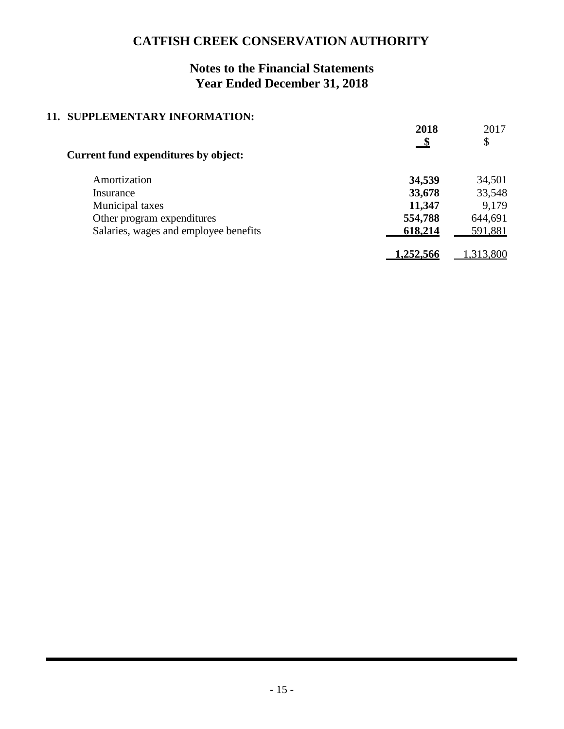## **Notes to the Financial Statements Year Ended December 31, 2018**

### **11. SUPPLEMENTARY INFORMATION:**

|                                       | 2018     | 2017      |
|---------------------------------------|----------|-----------|
|                                       | - \$     |           |
| Current fund expenditures by object:  |          |           |
| Amortization                          | 34,539   | 34,501    |
| Insurance                             | 33,678   | 33,548    |
| Municipal taxes                       | 11,347   | 9,179     |
| Other program expenditures            | 554,788  | 644,691   |
| Salaries, wages and employee benefits | 618,214  | 591,881   |
|                                       | .252.566 | 1,313,800 |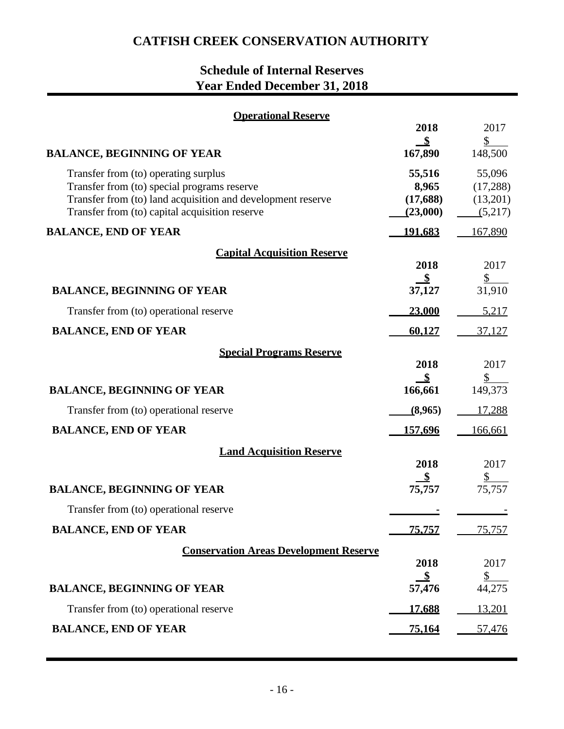## **Schedule of Internal Reserves Year Ended December 31, 2018**

| <b>Operational Reserve</b>                                                                                                                                                                           |                                         |                                           |
|------------------------------------------------------------------------------------------------------------------------------------------------------------------------------------------------------|-----------------------------------------|-------------------------------------------|
|                                                                                                                                                                                                      | 2018                                    | 2017                                      |
| <b>BALANCE, BEGINNING OF YEAR</b>                                                                                                                                                                    | $\frac{\$}{167,890}$                    | S<br>148,500                              |
| Transfer from (to) operating surplus<br>Transfer from (to) special programs reserve<br>Transfer from (to) land acquisition and development reserve<br>Transfer from (to) capital acquisition reserve | 55,516<br>8,965<br>(17,688)<br>(23,000) | 55,096<br>(17,288)<br>(13,201)<br>(5,217) |
| <b>BALANCE, END OF YEAR</b>                                                                                                                                                                          | <u>191,683</u>                          | <u>167,890</u>                            |
| <b>Capital Acquisition Reserve</b>                                                                                                                                                                   |                                         |                                           |
|                                                                                                                                                                                                      | 2018<br>$\overline{\mathbf{3}}$         | 2017                                      |
| <b>BALANCE, BEGINNING OF YEAR</b>                                                                                                                                                                    | 37,127                                  | 31,910                                    |
| Transfer from (to) operational reserve                                                                                                                                                               | 23,000                                  | 5,217                                     |
| <b>BALANCE, END OF YEAR</b>                                                                                                                                                                          | 60,127                                  | 37,127                                    |
| <b>Special Programs Reserve</b>                                                                                                                                                                      |                                         |                                           |
|                                                                                                                                                                                                      | 2018                                    | 2017                                      |
| <b>BALANCE, BEGINNING OF YEAR</b>                                                                                                                                                                    | $\overline{\mathbf{3}}$<br>166,661      | $\frac{\S}{}$<br>149,373                  |
| Transfer from (to) operational reserve                                                                                                                                                               | (8,965)                                 | 17,288                                    |
| <b>BALANCE, END OF YEAR</b>                                                                                                                                                                          | <u>157,696</u>                          | <u>166,661</u>                            |
| <b>Land Acquisition Reserve</b>                                                                                                                                                                      |                                         |                                           |
|                                                                                                                                                                                                      | 2018                                    | 2017                                      |
| <b>BALANCE, BEGINNING OF YEAR</b>                                                                                                                                                                    | $\overline{\mathbf{S}}$<br>75,757       | $\frac{\$}{75,757}$                       |
| Transfer from (to) operational reserve                                                                                                                                                               |                                         |                                           |
| <b>BALANCE, END OF YEAR</b>                                                                                                                                                                          | <u>75,757</u>                           | <u>75,757</u>                             |
| <b>Conservation Areas Development Reserve</b>                                                                                                                                                        |                                         |                                           |
|                                                                                                                                                                                                      | 2018                                    | 2017                                      |
| <b>BALANCE, BEGINNING OF YEAR</b>                                                                                                                                                                    | $\frac{\$}{57,476}$                     | 44,275                                    |
| Transfer from (to) operational reserve                                                                                                                                                               | 17,688                                  | <u>13,201</u>                             |
| <b>BALANCE, END OF YEAR</b>                                                                                                                                                                          | 75,164                                  | 57,476                                    |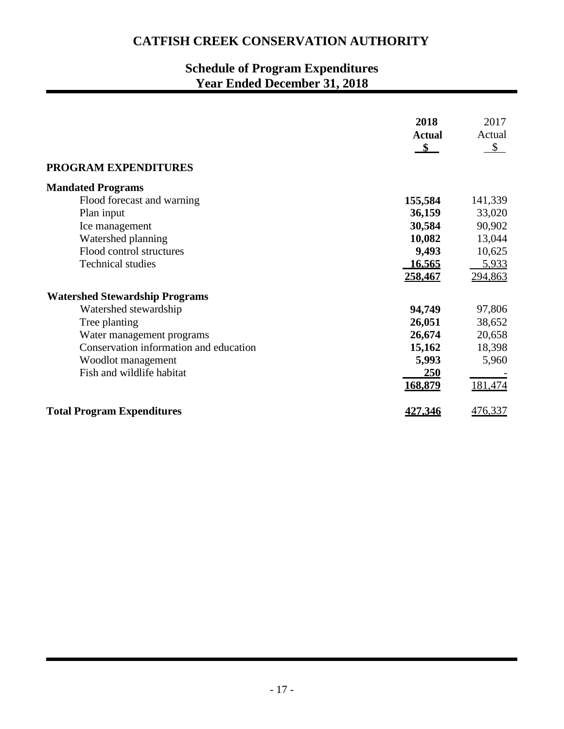# **Schedule of Program Expenditures Year Ended December 31, 2018**

| <b>PROGRAM EXPENDITURES</b>            | 2018<br>Actual<br>$\frac{1}{2}$ | 2017<br>Actual<br>\$ |
|----------------------------------------|---------------------------------|----------------------|
| <b>Mandated Programs</b>               |                                 |                      |
| Flood forecast and warning             | 155,584                         | 141,339              |
| Plan input                             | 36,159                          | 33,020               |
| Ice management                         | 30,584                          | 90,902               |
| Watershed planning                     | 10,082                          | 13,044               |
| Flood control structures               | 9,493                           | 10,625               |
| <b>Technical studies</b>               | <u>16,565</u>                   | 5,933                |
|                                        | 258,467                         | 294,863              |
| <b>Watershed Stewardship Programs</b>  |                                 |                      |
| Watershed stewardship                  | 94,749                          | 97,806               |
| Tree planting                          | 26,051                          | 38,652               |
| Water management programs              | 26,674                          | 20,658               |
| Conservation information and education | 15,162                          | 18,398               |
| Woodlot management                     | 5,993                           | 5,960                |
| Fish and wildlife habitat              | <b>250</b>                      |                      |
|                                        | 168,879                         | 181,474              |
| <b>Total Program Expenditures</b>      | 427,346                         | 476,337              |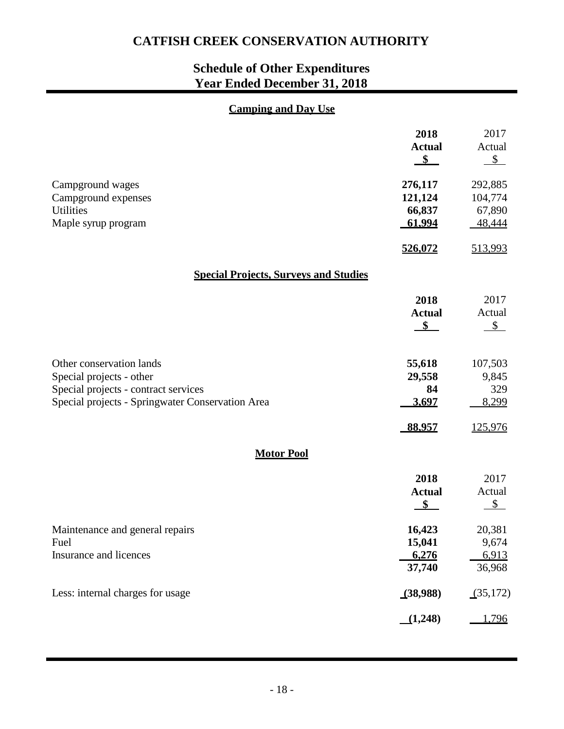# **Schedule of Other Expenditures Year Ended December 31, 2018**

### **Camping and Day Use**

|                                                                                                                                                  | 2018<br><b>Actual</b><br>$\mathbf{s}$  | 2017<br>Actual<br>$\mathcal{S}$        |
|--------------------------------------------------------------------------------------------------------------------------------------------------|----------------------------------------|----------------------------------------|
| Campground wages<br>Campground expenses<br><b>Utilities</b><br>Maple syrup program                                                               | 276,117<br>121,124<br>66,837<br>61.994 | 292,885<br>104,774<br>67,890<br>48,444 |
|                                                                                                                                                  | 526,072                                | 513,993                                |
| <b>Special Projects, Surveys and Studies</b>                                                                                                     |                                        |                                        |
|                                                                                                                                                  | 2018<br><b>Actual</b><br>$\mathbf{s}$  | 2017<br>Actual<br>$S_{-}$              |
| Other conservation lands<br>Special projects - other<br>Special projects - contract services<br>Special projects - Springwater Conservation Area | 55,618<br>29,558<br>84<br>3,697        | 107,503<br>9,845<br>329<br>8,299       |
|                                                                                                                                                  | 88,957                                 | 125,976                                |
| <b>Motor Pool</b>                                                                                                                                |                                        |                                        |
|                                                                                                                                                  | 2018<br><b>Actual</b><br>$\mathbf{s}$  | 2017<br>Actual<br>$\frac{1}{2}$        |
| Maintenance and general repairs<br>Fuel<br>Insurance and licences                                                                                | 16,423<br>15,041<br>6,276<br>37,740    | 20,381<br>9,674<br>6,913<br>36,968     |
| Less: internal charges for usage                                                                                                                 | (38,988)                               | (35,172)                               |
|                                                                                                                                                  | (1,248)                                | 1,796                                  |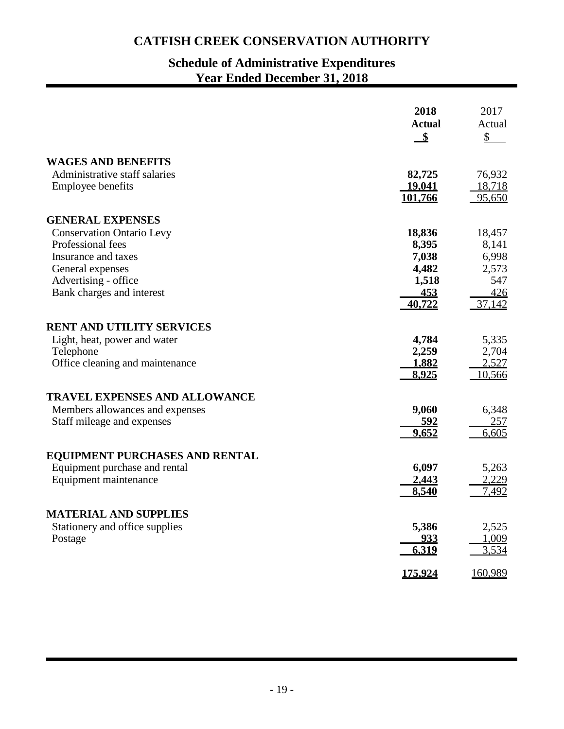# **Schedule of Administrative Expenditures Year Ended December 31, 2018**

|                                       | 2018<br><b>Actual</b><br>$\frac{1}{2}$ | 2017<br>Actual<br>\$ |
|---------------------------------------|----------------------------------------|----------------------|
| <b>WAGES AND BENEFITS</b>             |                                        |                      |
| Administrative staff salaries         | 82,725                                 | 76,932               |
| <b>Employee benefits</b>              | 19,041<br>101,766                      | 18,718<br>95,650     |
| <b>GENERAL EXPENSES</b>               |                                        |                      |
| <b>Conservation Ontario Levy</b>      | 18,836                                 | 18,457               |
| Professional fees                     | 8,395                                  | 8,141                |
| Insurance and taxes                   | 7,038                                  | 6,998                |
| General expenses                      | 4,482                                  | 2,573                |
| Advertising - office                  | 1,518                                  | 547                  |
| Bank charges and interest             | <u>453</u>                             | 426                  |
|                                       | 40,722                                 | 37,142               |
| <b>RENT AND UTILITY SERVICES</b>      |                                        |                      |
| Light, heat, power and water          | 4,784                                  | 5,335                |
| Telephone                             | 2,259                                  | 2,704                |
| Office cleaning and maintenance       | <u>1,882</u>                           | 2,527                |
|                                       | 8,925                                  | 10,566               |
| <b>TRAVEL EXPENSES AND ALLOWANCE</b>  |                                        |                      |
| Members allowances and expenses       | 9,060                                  | 6,348                |
| Staff mileage and expenses            | <u>592</u>                             | 257                  |
|                                       | 9,652                                  | 6,605                |
| <b>EQUIPMENT PURCHASES AND RENTAL</b> |                                        |                      |
| Equipment purchase and rental         | 6,097                                  | 5,263                |
| Equipment maintenance                 | 2,443                                  | 2,229                |
|                                       | 8,540                                  | 7,492                |
| <b>MATERIAL AND SUPPLIES</b>          |                                        |                      |
| Stationery and office supplies        | 5,386                                  | 2,525                |
| Postage                               | 933                                    | 1,009                |
|                                       | 6,319                                  | 3,534                |
|                                       |                                        |                      |
|                                       | 175,924                                | 160,989              |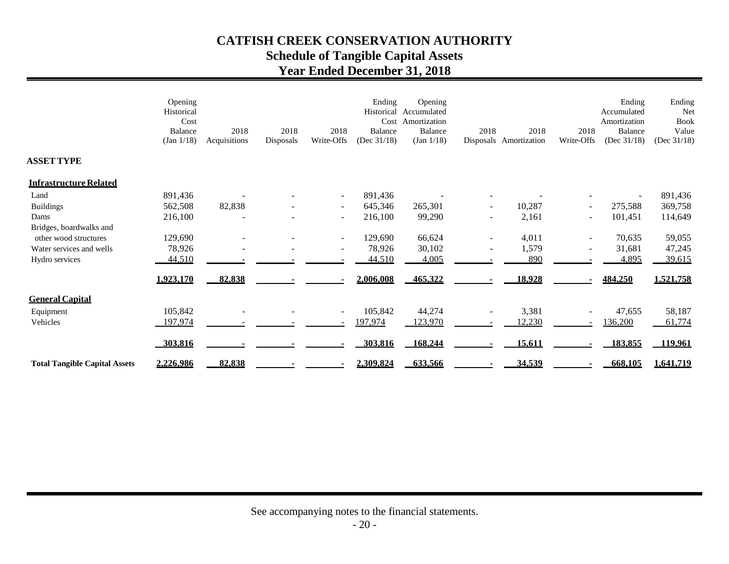## **CATFISH CREEK CONSERVATION AUTHORITY Schedule of Tangible Capital Assets Year Ended December 31, 2018**

|                                      | Opening<br>Historical<br>Cost<br>Balance<br>(Jan 1/18) | 2018<br>Acquisitions | 2018<br>Disposals | 2018<br>Write-Offs       | Ending<br>Balance<br>(Dec $31/18$ ) | Opening<br>Historical Accumulated<br>Cost Amortization<br>Balance<br>(Jan 1/18) | 2018 | 2018<br>Disposals Amortization | 2018<br>Write-Offs       | Ending<br>Accumulated<br>Amortization<br>Balance<br>(Dec $31/18$ ) | Ending<br>Net<br><b>Book</b><br>Value<br>(Dec $31/18$ ) |
|--------------------------------------|--------------------------------------------------------|----------------------|-------------------|--------------------------|-------------------------------------|---------------------------------------------------------------------------------|------|--------------------------------|--------------------------|--------------------------------------------------------------------|---------------------------------------------------------|
| <b>ASSET TYPE</b>                    |                                                        |                      |                   |                          |                                     |                                                                                 |      |                                |                          |                                                                    |                                                         |
| <b>Infrastructure Related</b>        |                                                        |                      |                   |                          |                                     |                                                                                 |      |                                |                          |                                                                    |                                                         |
| Land                                 | 891,436                                                |                      |                   | $\sim$                   | 891,436                             |                                                                                 |      |                                |                          |                                                                    | 891,436                                                 |
| <b>Buildings</b>                     | 562,508                                                | 82,838               |                   | $\overline{\phantom{a}}$ | 645,346                             | 265,301                                                                         |      | 10,287                         | $\overline{\phantom{a}}$ | 275,588                                                            | 369,758                                                 |
| Dams                                 | 216,100                                                |                      |                   | $\overline{\phantom{a}}$ | 216,100                             | 99,290                                                                          |      | 2,161                          | $\blacksquare$           | 101,451                                                            | 114,649                                                 |
| Bridges, boardwalks and              |                                                        |                      |                   |                          |                                     |                                                                                 |      |                                |                          |                                                                    |                                                         |
| other wood structures                | 129,690                                                |                      |                   | $\sim$                   | 129,690                             | 66,624                                                                          |      | 4,011                          |                          | 70,635                                                             | 59,055                                                  |
| Water services and wells             | 78,926                                                 |                      |                   | $\blacksquare$           | 78,926                              | 30,102                                                                          |      | 1,579                          |                          | 31,681                                                             | 47,245                                                  |
| Hydro services                       | 44,510                                                 |                      |                   |                          | 44,510                              | 4,005                                                                           |      | 890                            |                          | 4,895                                                              | 39,615                                                  |
|                                      | 1.923.170                                              | 82.838               |                   |                          | 2.006.008                           | 465,322                                                                         |      | 18.928                         |                          | 484,250                                                            | 1,521,758                                               |
| <b>General Capital</b>               |                                                        |                      |                   |                          |                                     |                                                                                 |      |                                |                          |                                                                    |                                                         |
| Equipment                            | 105,842                                                |                      |                   | $\overline{a}$           | 105,842                             | 44,274                                                                          |      | 3,381                          |                          | 47,655                                                             | 58,187                                                  |
| Vehicles                             | 197,974                                                |                      |                   |                          | 197,974                             | 123,970                                                                         |      | 12,230                         |                          | 136,200                                                            | 61,774                                                  |
|                                      |                                                        |                      |                   |                          |                                     |                                                                                 |      |                                |                          |                                                                    |                                                         |
|                                      | 303.816                                                |                      |                   |                          | 303.816                             | 168,244                                                                         |      | 15.611                         |                          | 183.855                                                            | 119.961                                                 |
| <b>Total Tangible Capital Assets</b> | 2.226.986                                              | 82,838               |                   |                          | 2.309.824                           | 633,566                                                                         |      | 34,539                         |                          | 668,105                                                            | 1.641.719                                               |